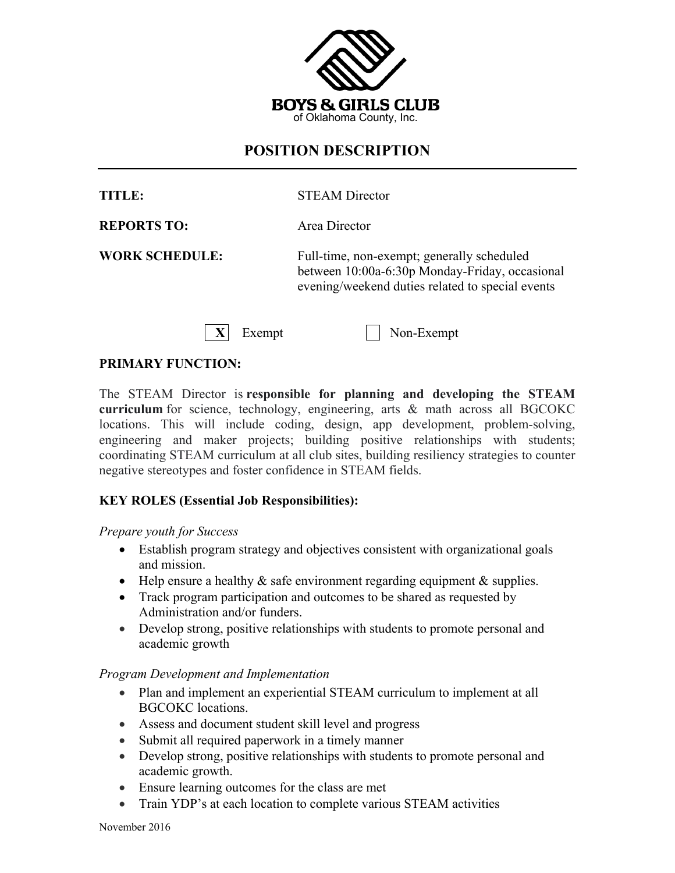

# **POSITION DESCRIPTION**

| TITLE:                | <b>STEAM Director</b>                                                                        |
|-----------------------|----------------------------------------------------------------------------------------------|
| <b>REPORTS TO:</b>    | Area Director                                                                                |
| <b>WORK SCHEDULE:</b> | Full-time, non-exempt; generally scheduled<br>between 10:00a-6:30p Monday-Friday, occasional |

Exempt Non-Exempt

evening/weekend duties related to special events

#### **PRIMARY FUNCTION:**

The STEAM Director is **responsible for planning and developing the STEAM curriculum** for science, technology, engineering, arts & math across all BGCOKC locations. This will include coding, design, app development, problem-solving, engineering and maker projects; building positive relationships with students; coordinating STEAM curriculum at all club sites, building resiliency strategies to counter negative stereotypes and foster confidence in STEAM fields.

#### **KEY ROLES (Essential Job Responsibilities):**

#### *Prepare youth for Success*

- Establish program strategy and objectives consistent with organizational goals and mission.
- Help ensure a healthy  $\&$  safe environment regarding equipment  $\&$  supplies.
- Track program participation and outcomes to be shared as requested by Administration and/or funders.
- Develop strong, positive relationships with students to promote personal and academic growth

#### *Program Development and Implementation*

- Plan and implement an experiential STEAM curriculum to implement at all BGCOKC locations.
- Assess and document student skill level and progress
- Submit all required paperwork in a timely manner
- Develop strong, positive relationships with students to promote personal and academic growth.
- Ensure learning outcomes for the class are met
- Train YDP's at each location to complete various STEAM activities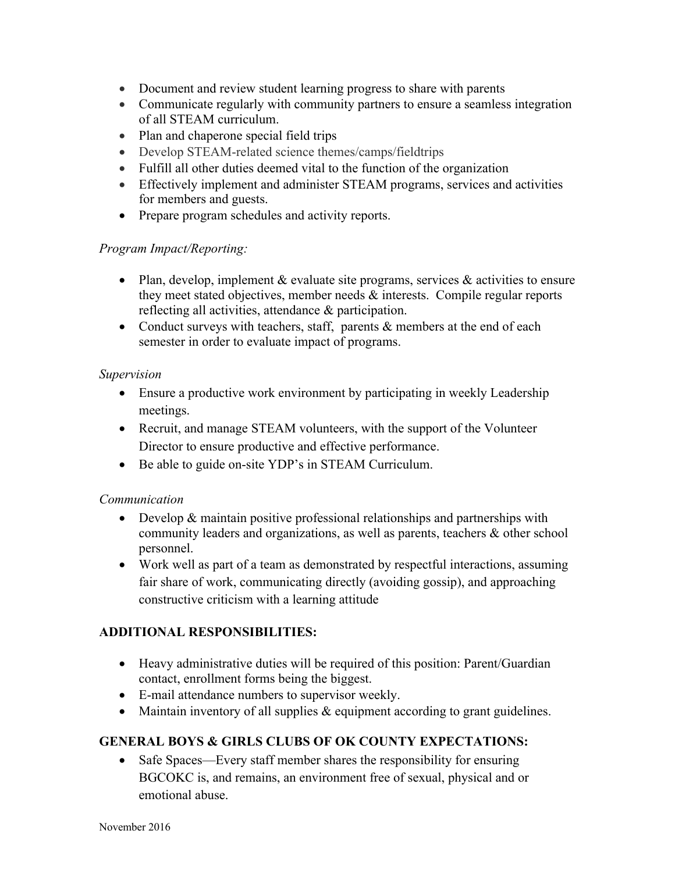- Document and review student learning progress to share with parents
- Communicate regularly with community partners to ensure a seamless integration of all STEAM curriculum.
- Plan and chaperone special field trips
- Develop STEAM-related science themes/camps/fieldtrips
- Fulfill all other duties deemed vital to the function of the organization
- Effectively implement and administer STEAM programs, services and activities for members and guests.
- Prepare program schedules and activity reports.

## *Program Impact/Reporting:*

- Plan, develop, implement  $\&$  evaluate site programs, services  $\&$  activities to ensure they meet stated objectives, member needs & interests. Compile regular reports reflecting all activities, attendance & participation.
- Conduct surveys with teachers, staff, parents & members at the end of each semester in order to evaluate impact of programs.

## *Supervision*

- Ensure a productive work environment by participating in weekly Leadership meetings.
- Recruit, and manage STEAM volunteers, with the support of the Volunteer Director to ensure productive and effective performance.
- Be able to guide on-site YDP's in STEAM Curriculum.

## *Communication*

- Develop & maintain positive professional relationships and partnerships with community leaders and organizations, as well as parents, teachers & other school personnel.
- Work well as part of a team as demonstrated by respectful interactions, assuming fair share of work, communicating directly (avoiding gossip), and approaching constructive criticism with a learning attitude

# **ADDITIONAL RESPONSIBILITIES:**

- Heavy administrative duties will be required of this position: Parent/Guardian contact, enrollment forms being the biggest.
- E-mail attendance numbers to supervisor weekly.
- Maintain inventory of all supplies & equipment according to grant guidelines.

# **GENERAL BOYS & GIRLS CLUBS OF OK COUNTY EXPECTATIONS:**

• Safe Spaces—Every staff member shares the responsibility for ensuring BGCOKC is, and remains, an environment free of sexual, physical and or emotional abuse.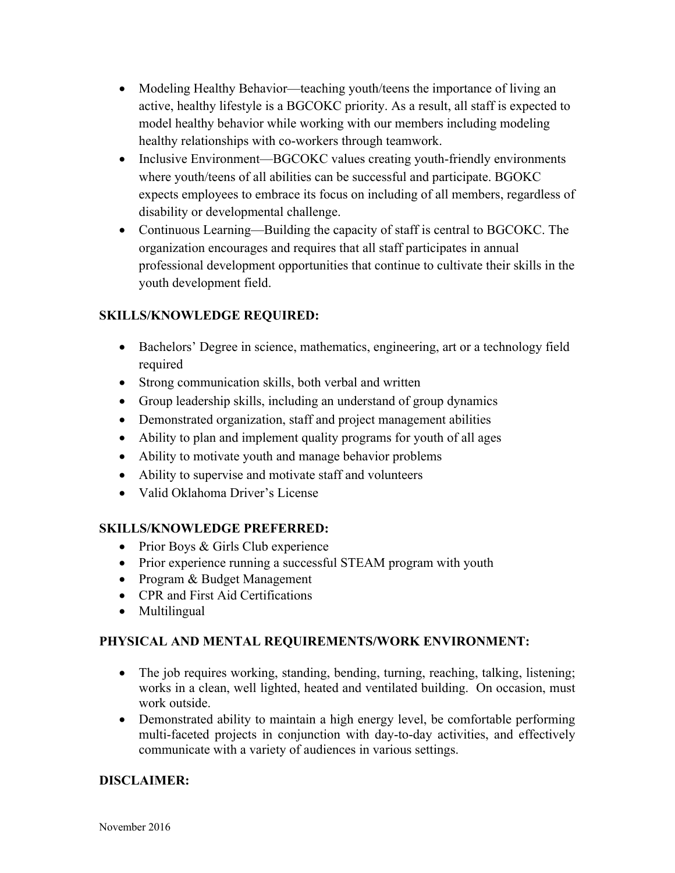- Modeling Healthy Behavior—teaching youth/teens the importance of living an active, healthy lifestyle is a BGCOKC priority. As a result, all staff is expected to model healthy behavior while working with our members including modeling healthy relationships with co-workers through teamwork.
- Inclusive Environment—BGCOKC values creating youth-friendly environments where youth/teens of all abilities can be successful and participate. BGOKC expects employees to embrace its focus on including of all members, regardless of disability or developmental challenge.
- Continuous Learning—Building the capacity of staff is central to BGCOKC. The organization encourages and requires that all staff participates in annual professional development opportunities that continue to cultivate their skills in the youth development field.

## **SKILLS/KNOWLEDGE REQUIRED:**

- Bachelors' Degree in science, mathematics, engineering, art or a technology field required
- Strong communication skills, both verbal and written
- Group leadership skills, including an understand of group dynamics
- Demonstrated organization, staff and project management abilities
- Ability to plan and implement quality programs for youth of all ages
- Ability to motivate youth and manage behavior problems
- Ability to supervise and motivate staff and volunteers
- Valid Oklahoma Driver's License

## **SKILLS/KNOWLEDGE PREFERRED:**

- Prior Boys & Girls Club experience
- Prior experience running a successful STEAM program with youth
- Program & Budget Management
- CPR and First Aid Certifications
- Multilingual

## **PHYSICAL AND MENTAL REQUIREMENTS/WORK ENVIRONMENT:**

- The job requires working, standing, bending, turning, reaching, talking, listening; works in a clean, well lighted, heated and ventilated building. On occasion, must work outside.
- Demonstrated ability to maintain a high energy level, be comfortable performing multi-faceted projects in conjunction with day-to-day activities, and effectively communicate with a variety of audiences in various settings.

## **DISCLAIMER:**